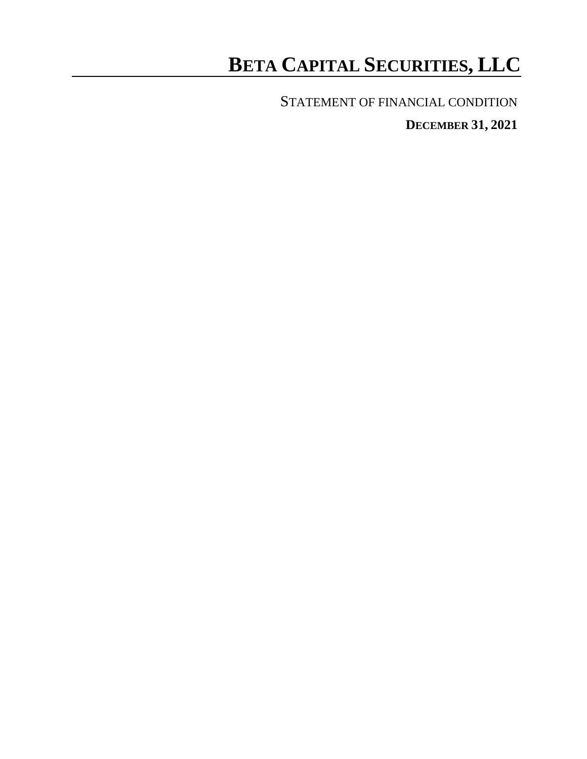# **BETA CAPITAL SECURITIES, LLC**

STATEMENT OF FINANCIAL CONDITION

**DECEMBER 31, 2021**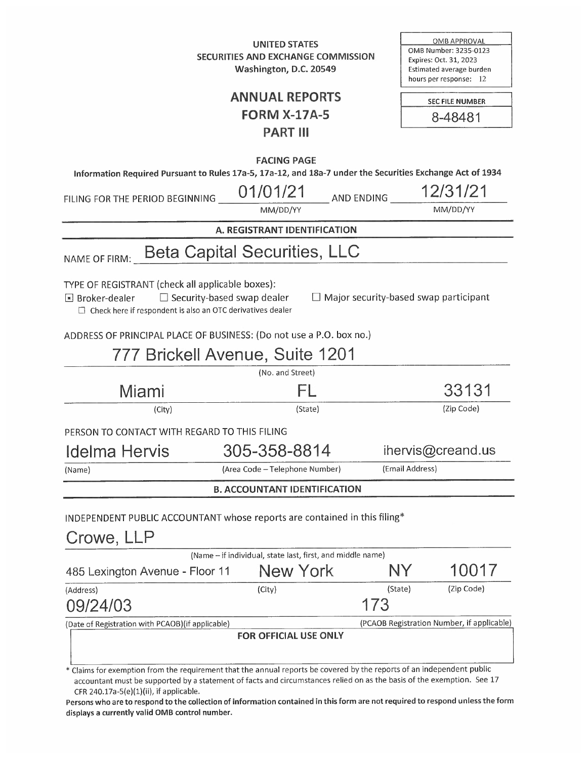**UNITED STATES** SECURITIES AND EXCHANGE COMMISSION Washington, D.C. 20549

**OMB APPROVAL** OMB Number: 3235-0123 Expires: Oct. 31, 2023 Estimated average burden hours per response: 12

## **ANNUAL REPORTS FORM X-17A-5 PART III**

SEC FILE NUMBER 8-48481

| Information Required Pursuant to Rules 17a-5, 17a-12, and 18a-7 under the Securities Exchange Act of 1934                                                                                                                                                         | <b>FACING PAGE</b>                  |                 |                                              |
|-------------------------------------------------------------------------------------------------------------------------------------------------------------------------------------------------------------------------------------------------------------------|-------------------------------------|-----------------|----------------------------------------------|
|                                                                                                                                                                                                                                                                   | 01/01/21                            |                 | 12/31/21                                     |
| FILING FOR THE PERIOD BEGINNING                                                                                                                                                                                                                                   | MM/DD/YY                            | AND ENDING      | MM/DD/YY                                     |
|                                                                                                                                                                                                                                                                   | A. REGISTRANT IDENTIFICATION        |                 |                                              |
|                                                                                                                                                                                                                                                                   |                                     |                 |                                              |
| NAME OF FIRM:                                                                                                                                                                                                                                                     | <b>Beta Capital Securities, LLC</b> |                 |                                              |
| TYPE OF REGISTRANT (check all applicable boxes):<br>$\Box$ Security-based swap dealer<br>$\blacksquare$ Broker-dealer<br>$\Box$ Check here if respondent is also an OTC derivatives dealer<br>ADDRESS OF PRINCIPAL PLACE OF BUSINESS: (Do not use a P.O. box no.) |                                     |                 | $\Box$ Major security-based swap participant |
|                                                                                                                                                                                                                                                                   | 777 Brickell Avenue, Suite 1201     |                 |                                              |
|                                                                                                                                                                                                                                                                   | (No. and Street)                    |                 |                                              |
| Miami                                                                                                                                                                                                                                                             | FΓ                                  |                 | 33131                                        |
| (City)                                                                                                                                                                                                                                                            | (State)                             |                 | (Zip Code)                                   |
| PERSON TO CONTACT WITH REGARD TO THIS FILING                                                                                                                                                                                                                      |                                     |                 |                                              |
| Idelma Hervis                                                                                                                                                                                                                                                     | 305-358-8814                        |                 | ihervis@creand.us                            |
| (Name)                                                                                                                                                                                                                                                            | (Area Code - Telephone Number)      | (Email Address) |                                              |
|                                                                                                                                                                                                                                                                   | <b>B. ACCOUNTANT IDENTIFICATION</b> |                 |                                              |
| INDEPENDENT PUBLIC ACCOUNTANT whose reports are contained in this filing*<br>Crowe, LLP                                                                                                                                                                           |                                     |                 |                                              |
| (Name - if individual, state last, first, and middle name)                                                                                                                                                                                                        |                                     |                 |                                              |
| 485 Lexington Avenue - Floor 11                                                                                                                                                                                                                                   | <b>New York</b>                     |                 | 10017                                        |
| (Address)<br>09/24/03                                                                                                                                                                                                                                             | (City)                              | (State)<br>173  | (Zip Code)                                   |
| (Date of Registration with PCAOB) (if applicable)                                                                                                                                                                                                                 |                                     |                 | (PCAOB Registration Number, if applicable    |
| Claims for exemption from the requirement that the annual reports be covered by the reports of an independent public                                                                                                                                              | FOR OFFICIAL USE ONLY               |                 |                                              |

Claims for exemption from the requirement that the annual reports be cov accountant must be supported by a statement of facts and circumstances relied on as the basis of the exemption. See 17 CFR 240.17a-5(e)(1)(ii), if applicable.

Persons who are to respond to the collection of information contained in this form are not required to respond unless the form displays a currently valid OMB control number.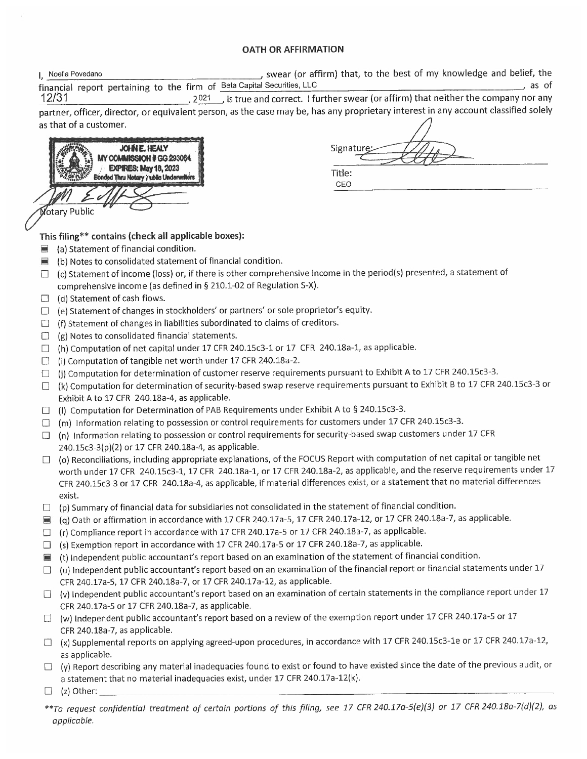## **OATH OR AFFIRMATION**

| Noelia Povedano                                                         | , swear (or affirm) that, to the best of my knowledge and belief, the |       |
|-------------------------------------------------------------------------|-----------------------------------------------------------------------|-------|
| financial report pertaining to the firm of Beta Capital Securities, LLC |                                                                       | as of |

 $12/31$ , 2021 is true and correct. I further swear (or affirm) that neither the company nor any partner, officer, director, or equivalent person, as the case may be, has any proprietary interest in any account classified solely as that of a customer.



Signature Title: CEO

## This filing\*\* contains (check all applicable boxes):

- $\blacksquare$  (a) Statement of financial condition.
- $\blacksquare$  (b) Notes to consolidated statement of financial condition.
- $\Box$  (c) Statement of income (loss) or, if there is other comprehensive income in the period(s) presented, a statement of comprehensive income (as defined in § 210.1-02 of Regulation S-X).
- $\Box$  (d) Statement of cash flows.
- $\Box$  (e) Statement of changes in stockholders' or partners' or sole proprietor's equity.
- $\Box$  (f) Statement of changes in liabilities subordinated to claims of creditors.
- $\Box$  (g) Notes to consolidated financial statements.
- $\Box$  (h) Computation of net capital under 17 CFR 240.15c3-1 or 17 CFR 240.18a-1, as applicable.
- □ (i) Computation of tangible net worth under 17 CFR 240.18a-2.
- $\Box$  (j) Computation for determination of customer reserve requirements pursuant to Exhibit A to 17 CFR 240.15c3-3.
- $\Box$  (k) Computation for determination of security-based swap reserve requirements pursuant to Exhibit B to 17 CFR 240.15c3-3 or Exhibit A to 17 CFR 240.18a-4, as applicable.
- $\Box$  (I) Computation for Determination of PAB Requirements under Exhibit A to § 240.15c3-3.
- $\Box$  (m) Information relating to possession or control requirements for customers under 17 CFR 240.15c3-3.
- $\Box$  (n) Information relating to possession or control requirements for security-based swap customers under 17 CFR 240.15c3-3(p)(2) or 17 CFR 240.18a-4, as applicable.
- $\Box$  (o) Reconciliations, including appropriate explanations, of the FOCUS Report with computation of net capital or tangible net worth under 17 CFR 240.15c3-1, 17 CFR 240.18a-1, or 17 CFR 240.18a-2, as applicable, and the reserve requirements under 17 CFR 240.15c3-3 or 17 CFR 240.18a-4, as applicable, if material differences exist, or a statement that no material differences exist.
- $\Box$  (p) Summary of financial data for subsidiaries not consolidated in the statement of financial condition.
- (q) Oath or affirmation in accordance with 17 CFR 240.17a-5, 17 CFR 240.17a-12, or 17 CFR 240.18a-7, as applicable.
- $\Box$  (r) Compliance report in accordance with 17 CFR 240.17a-5 or 17 CFR 240.18a-7, as applicable.
- $\Box$  (s) Exemption report in accordance with 17 CFR 240.17a-5 or 17 CFR 240.18a-7, as applicable.
- $\blacksquare$  (t) Independent public accountant's report based on an examination of the statement of financial condition.
- $\Box$  (u) Independent public accountant's report based on an examination of the financial report or financial statements under 17 CFR 240.17a-5, 17 CFR 240.18a-7, or 17 CFR 240.17a-12, as applicable.
- $\Box$  (v) Independent public accountant's report based on an examination of certain statements in the compliance report under 17 CFR 240.17a-5 or 17 CFR 240.18a-7, as applicable.
- $\Box$  (w) Independent public accountant's report based on a review of the exemption report under 17 CFR 240.17a-5 or 17 CFR 240.18a-7, as applicable.
- □ (x) Supplemental reports on applying agreed-upon procedures, in accordance with 17 CFR 240.15c3-1e or 17 CFR 240.17a-12, as applicable.
- $\Box$  (y) Report describing any material inadequacies found to exist or found to have existed since the date of the previous audit, or a statement that no material inadequacies exist, under 17 CFR 240.17a-12(k).
- $\Box$  (z) Other:
- \*\*To request confidential treatment of certain portions of this filing, see 17 CFR 240.17a-5(e)(3) or 17 CFR 240.18a-7(d)(2), as applicable.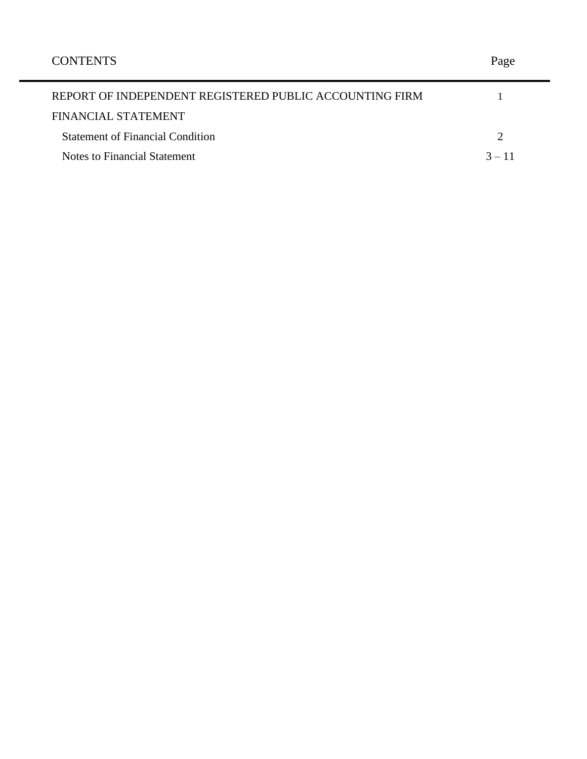| REPORT OF INDEPENDENT REGISTERED PUBLIC ACCOUNTING FIRM |          |
|---------------------------------------------------------|----------|
| FINANCIAL STATEMENT                                     |          |
| <b>Statement of Financial Condition</b>                 |          |
| Notes to Financial Statement                            | $3 - 11$ |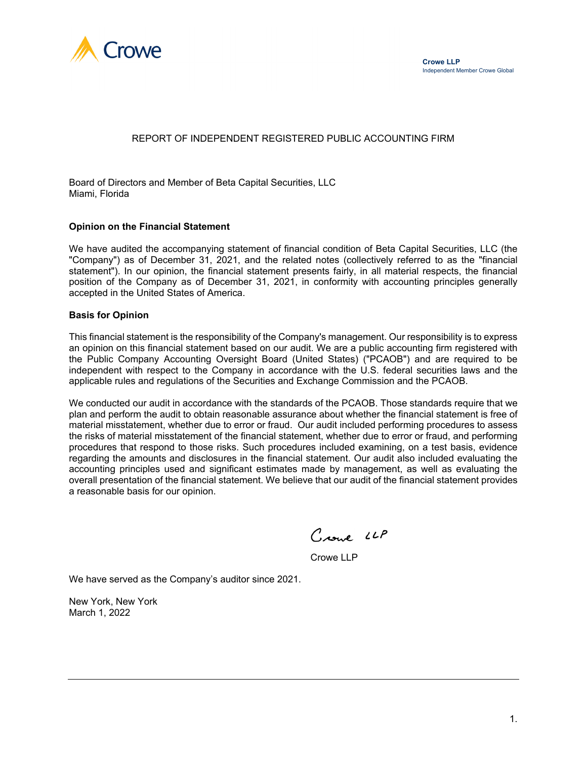

## REPORT OF INDEPENDENT REGISTERED PUBLIC ACCOUNTING FIRM

Board of Directors and Member of Beta Capital Securities, LLC Miami, Florida

#### **Opinion on the Financial Statement**

We have audited the accompanying statement of financial condition of Beta Capital Securities, LLC (the "Company") as of December 31, 2021, and the related notes (collectively referred to as the "financial statement"). In our opinion, the financial statement presents fairly, in all material respects, the financial position of the Company as of December 31, 2021, in conformity with accounting principles generally accepted in the United States of America.

#### **Basis for Opinion**

This financial statement is the responsibility of the Company's management. Our responsibility is to express an opinion on this financial statement based on our audit. We are a public accounting firm registered with the Public Company Accounting Oversight Board (United States) ("PCAOB") and are required to be independent with respect to the Company in accordance with the U.S. federal securities laws and the applicable rules and regulations of the Securities and Exchange Commission and the PCAOB.

We conducted our audit in accordance with the standards of the PCAOB. Those standards require that we plan and perform the audit to obtain reasonable assurance about whether the financial statement is free of material misstatement, whether due to error or fraud. Our audit included performing procedures to assess the risks of material misstatement of the financial statement, whether due to error or fraud, and performing procedures that respond to those risks. Such procedures included examining, on a test basis, evidence regarding the amounts and disclosures in the financial statement. Our audit also included evaluating the accounting principles used and significant estimates made by management, as well as evaluating the overall presentation of the financial statement. We believe that our audit of the financial statement provides a reasonable basis for our opinion.

Crowl LLP

Crowe LLP

We have served as the Company's auditor since 2021.

New York, New York March 1, 2022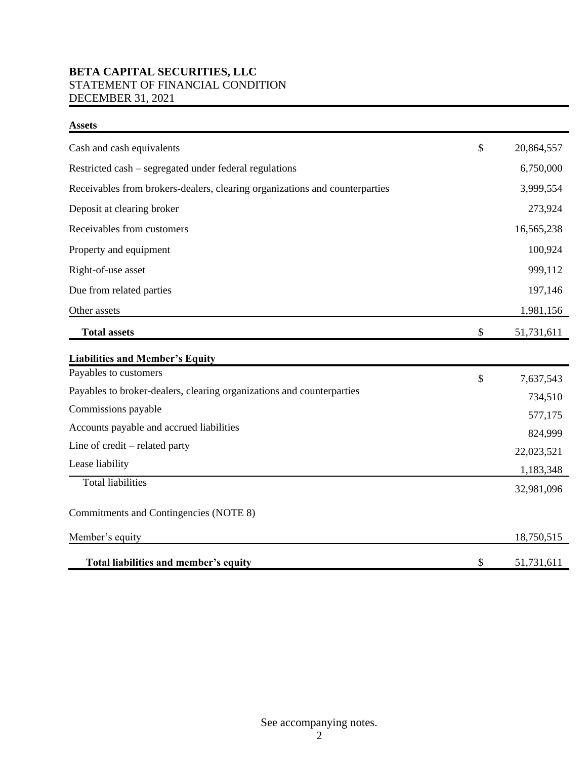## **BETA CAPITAL SECURITIES, LLC** STATEMENT OF FINANCIAL CONDITION DECEMBER 31, 2021

| <b>Assets</b>                                                               |                  |
|-----------------------------------------------------------------------------|------------------|
| Cash and cash equivalents                                                   | \$<br>20,864,557 |
| Restricted cash – segregated under federal regulations                      | 6,750,000        |
| Receivables from brokers-dealers, clearing organizations and counterparties | 3,999,554        |
| Deposit at clearing broker                                                  | 273,924          |
| Receivables from customers                                                  | 16,565,238       |
| Property and equipment                                                      | 100,924          |
| Right-of-use asset                                                          | 999,112          |
| Due from related parties                                                    | 197,146          |
| Other assets                                                                | 1,981,156        |
| <b>Total assets</b>                                                         | \$<br>51,731,611 |
| <b>Liabilities and Member's Equity</b>                                      |                  |
| Payables to customers                                                       | \$<br>7,637,543  |
| Payables to broker-dealers, clearing organizations and counterparties       | 734,510          |
| Commissions payable                                                         | 577,175          |
| Accounts payable and accrued liabilities                                    | 824,999          |
| Line of credit – related party                                              | 22,023,521       |
| Lease liability                                                             | 1,183,348        |
| <b>Total liabilities</b>                                                    | 32,981,096       |
| Commitments and Contingencies (NOTE 8)                                      |                  |
| Member's equity                                                             | 18,750,515       |
| Total liabilities and member's equity                                       | \$<br>51,731,611 |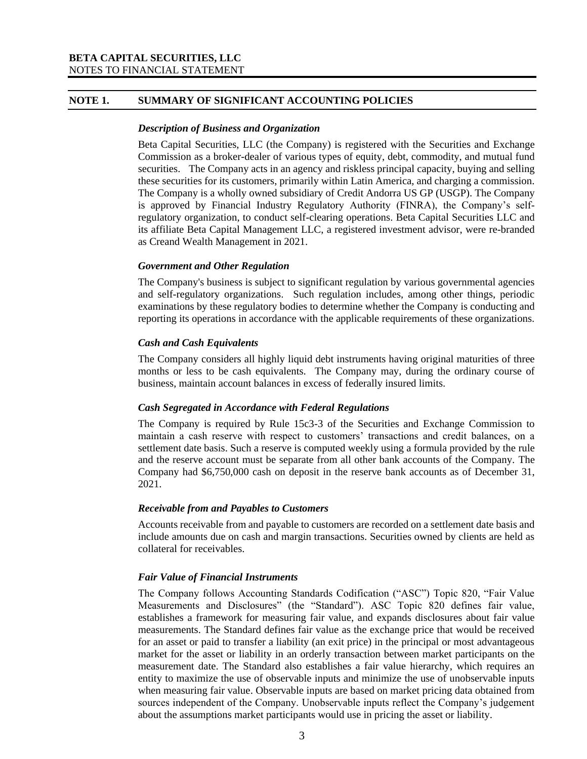## **NOTE 1. SUMMARY OF SIGNIFICANT ACCOUNTING POLICIES**

#### *Description of Business and Organization*

Beta Capital Securities, LLC (the Company) is registered with the Securities and Exchange Commission as a broker-dealer of various types of equity, debt, commodity, and mutual fund securities. The Company acts in an agency and riskless principal capacity, buying and selling these securities for its customers, primarily within Latin America, and charging a commission. The Company is a wholly owned subsidiary of Credit Andorra US GP (USGP). The Company is approved by Financial Industry Regulatory Authority (FINRA), the Company's selfregulatory organization, to conduct self-clearing operations. Beta Capital Securities LLC and its affiliate Beta Capital Management LLC, a registered investment advisor, were re-branded as Creand Wealth Management in 2021.

## *Government and Other Regulation*

The Company's business is subject to significant regulation by various governmental agencies and self-regulatory organizations. Such regulation includes, among other things, periodic examinations by these regulatory bodies to determine whether the Company is conducting and reporting its operations in accordance with the applicable requirements of these organizations.

## *Cash and Cash Equivalents*

The Company considers all highly liquid debt instruments having original maturities of three months or less to be cash equivalents. The Company may, during the ordinary course of business, maintain account balances in excess of federally insured limits.

## *Cash Segregated in Accordance with Federal Regulations*

The Company is required by Rule 15c3-3 of the Securities and Exchange Commission to maintain a cash reserve with respect to customers' transactions and credit balances, on a settlement date basis. Such a reserve is computed weekly using a formula provided by the rule and the reserve account must be separate from all other bank accounts of the Company. The Company had \$6,750,000 cash on deposit in the reserve bank accounts as of December 31, 2021.

## *Receivable from and Payables to Customers*

Accounts receivable from and payable to customers are recorded on a settlement date basis and include amounts due on cash and margin transactions. Securities owned by clients are held as collateral for receivables.

## *Fair Value of Financial Instruments*

The Company follows Accounting Standards Codification ("ASC") Topic 820, "Fair Value Measurements and Disclosures" (the "Standard"). ASC Topic 820 defines fair value, establishes a framework for measuring fair value, and expands disclosures about fair value measurements. The Standard defines fair value as the exchange price that would be received for an asset or paid to transfer a liability (an exit price) in the principal or most advantageous market for the asset or liability in an orderly transaction between market participants on the measurement date. The Standard also establishes a fair value hierarchy, which requires an entity to maximize the use of observable inputs and minimize the use of unobservable inputs when measuring fair value. Observable inputs are based on market pricing data obtained from sources independent of the Company. Unobservable inputs reflect the Company's judgement about the assumptions market participants would use in pricing the asset or liability.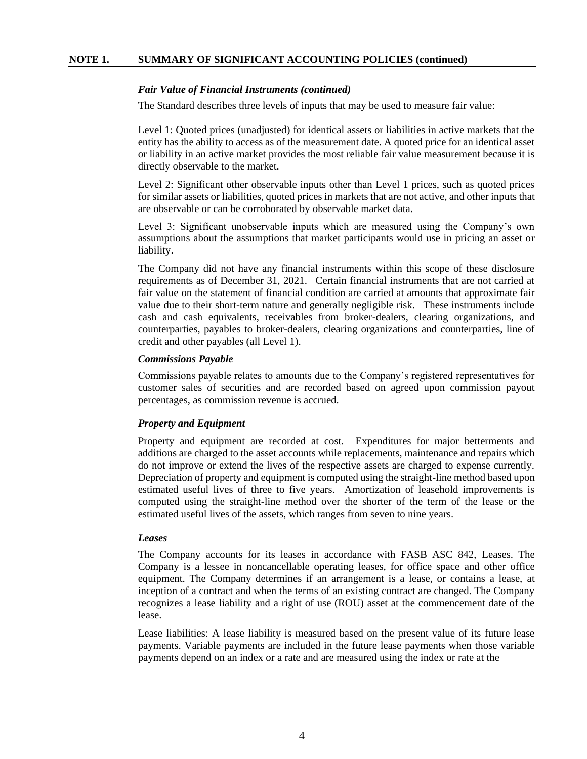#### *Fair Value of Financial Instruments (continued)*

The Standard describes three levels of inputs that may be used to measure fair value:

Level 1: Quoted prices (unadjusted) for identical assets or liabilities in active markets that the entity has the ability to access as of the measurement date. A quoted price for an identical asset or liability in an active market provides the most reliable fair value measurement because it is directly observable to the market.

Level 2: Significant other observable inputs other than Level 1 prices, such as quoted prices for similar assets or liabilities, quoted prices in markets that are not active, and other inputs that are observable or can be corroborated by observable market data.

Level 3: Significant unobservable inputs which are measured using the Company's own assumptions about the assumptions that market participants would use in pricing an asset or liability.

The Company did not have any financial instruments within this scope of these disclosure requirements as of December 31, 2021. Certain financial instruments that are not carried at fair value on the statement of financial condition are carried at amounts that approximate fair value due to their short-term nature and generally negligible risk. These instruments include cash and cash equivalents, receivables from broker-dealers, clearing organizations, and counterparties, payables to broker-dealers, clearing organizations and counterparties, line of credit and other payables (all Level 1).

#### *Commissions Payable*

Commissions payable relates to amounts due to the Company's registered representatives for customer sales of securities and are recorded based on agreed upon commission payout percentages, as commission revenue is accrued.

#### *Property and Equipment*

Property and equipment are recorded at cost. Expenditures for major betterments and additions are charged to the asset accounts while replacements, maintenance and repairs which do not improve or extend the lives of the respective assets are charged to expense currently. Depreciation of property and equipment is computed using the straight-line method based upon estimated useful lives of three to five years. Amortization of leasehold improvements is computed using the straight-line method over the shorter of the term of the lease or the estimated useful lives of the assets, which ranges from seven to nine years.

#### *Leases*

The Company accounts for its leases in accordance with FASB ASC 842, Leases. The Company is a lessee in noncancellable operating leases, for office space and other office equipment. The Company determines if an arrangement is a lease, or contains a lease, at inception of a contract and when the terms of an existing contract are changed. The Company recognizes a lease liability and a right of use (ROU) asset at the commencement date of the lease.

Lease liabilities: A lease liability is measured based on the present value of its future lease payments. Variable payments are included in the future lease payments when those variable payments depend on an index or a rate and are measured using the index or rate at the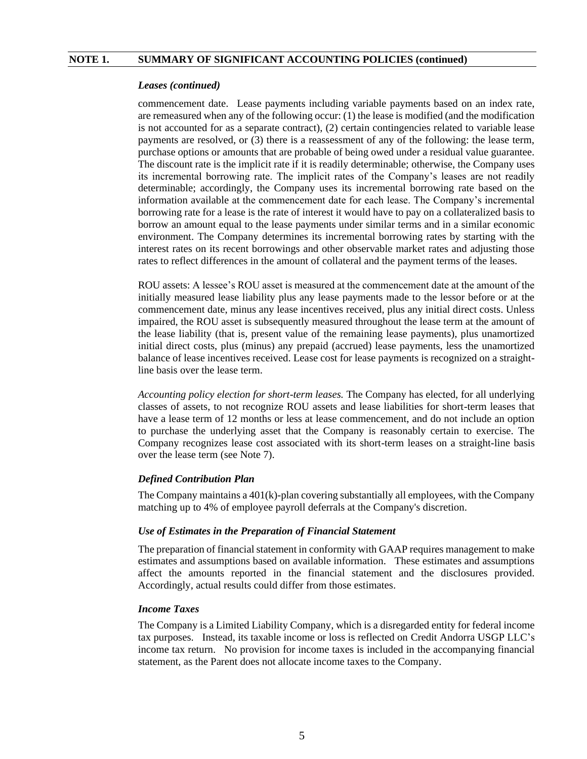#### *Leases (continued)*

commencement date. Lease payments including variable payments based on an index rate, are remeasured when any of the following occur: (1) the lease is modified (and the modification is not accounted for as a separate contract), (2) certain contingencies related to variable lease payments are resolved, or (3) there is a reassessment of any of the following: the lease term, purchase options or amounts that are probable of being owed under a residual value guarantee. The discount rate is the implicit rate if it is readily determinable; otherwise, the Company uses its incremental borrowing rate. The implicit rates of the Company's leases are not readily determinable; accordingly, the Company uses its incremental borrowing rate based on the information available at the commencement date for each lease. The Company's incremental borrowing rate for a lease is the rate of interest it would have to pay on a collateralized basis to borrow an amount equal to the lease payments under similar terms and in a similar economic environment. The Company determines its incremental borrowing rates by starting with the interest rates on its recent borrowings and other observable market rates and adjusting those rates to reflect differences in the amount of collateral and the payment terms of the leases.

ROU assets: A lessee's ROU asset is measured at the commencement date at the amount of the initially measured lease liability plus any lease payments made to the lessor before or at the commencement date, minus any lease incentives received, plus any initial direct costs. Unless impaired, the ROU asset is subsequently measured throughout the lease term at the amount of the lease liability (that is, present value of the remaining lease payments), plus unamortized initial direct costs, plus (minus) any prepaid (accrued) lease payments, less the unamortized balance of lease incentives received. Lease cost for lease payments is recognized on a straightline basis over the lease term.

*Accounting policy election for short-term leases.* The Company has elected, for all underlying classes of assets, to not recognize ROU assets and lease liabilities for short-term leases that have a lease term of 12 months or less at lease commencement, and do not include an option to purchase the underlying asset that the Company is reasonably certain to exercise. The Company recognizes lease cost associated with its short-term leases on a straight-line basis over the lease term (see Note 7).

## *Defined Contribution Plan*

The Company maintains a  $401(k)$ -plan covering substantially all employees, with the Company matching up to 4% of employee payroll deferrals at the Company's discretion.

#### *Use of Estimates in the Preparation of Financial Statement*

The preparation of financial statement in conformity with GAAP requires management to make estimates and assumptions based on available information. These estimates and assumptions affect the amounts reported in the financial statement and the disclosures provided. Accordingly, actual results could differ from those estimates.

#### *Income Taxes*

The Company is a Limited Liability Company, which is a disregarded entity for federal income tax purposes. Instead, its taxable income or loss is reflected on Credit Andorra USGP LLC's income tax return. No provision for income taxes is included in the accompanying financial statement, as the Parent does not allocate income taxes to the Company.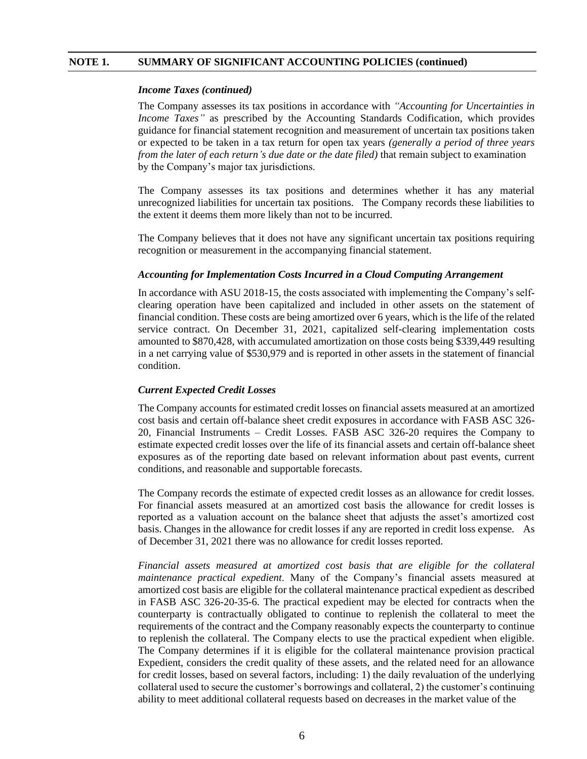#### *Income Taxes (continued)*

The Company assesses its tax positions in accordance with *"Accounting for Uncertainties in Income Taxes*" as prescribed by the Accounting Standards Codification, which provides guidance for financial statement recognition and measurement of uncertain tax positions taken or expected to be taken in a tax return for open tax years *(generally a period of three years from the later of each return's due date or the date filed)* that remain subject to examination by the Company's major tax jurisdictions.

The Company assesses its tax positions and determines whether it has any material unrecognized liabilities for uncertain tax positions. The Company records these liabilities to the extent it deems them more likely than not to be incurred.

The Company believes that it does not have any significant uncertain tax positions requiring recognition or measurement in the accompanying financial statement.

#### *Accounting for Implementation Costs Incurred in a Cloud Computing Arrangement*

In accordance with ASU 2018-15, the costs associated with implementing the Company's selfclearing operation have been capitalized and included in other assets on the statement of financial condition. These costs are being amortized over 6 years, which is the life of the related service contract. On December 31, 2021, capitalized self-clearing implementation costs amounted to \$870,428, with accumulated amortization on those costs being \$339,449 resulting in a net carrying value of \$530,979 and is reported in other assets in the statement of financial condition.

#### *Current Expected Credit Losses*

The Company accounts for estimated credit losses on financial assets measured at an amortized cost basis and certain off-balance sheet credit exposures in accordance with FASB ASC 326- 20, Financial Instruments – Credit Losses. FASB ASC 326-20 requires the Company to estimate expected credit losses over the life of its financial assets and certain off-balance sheet exposures as of the reporting date based on relevant information about past events, current conditions, and reasonable and supportable forecasts.

The Company records the estimate of expected credit losses as an allowance for credit losses. For financial assets measured at an amortized cost basis the allowance for credit losses is reported as a valuation account on the balance sheet that adjusts the asset's amortized cost basis. Changes in the allowance for credit losses if any are reported in credit loss expense*.* As of December 31, 2021 there was no allowance for credit losses reported.

*Financial assets measured at amortized cost basis that are eligible for the collateral maintenance practical expedient*. Many of the Company's financial assets measured at amortized cost basis are eligible for the collateral maintenance practical expedient as described in FASB ASC 326-20-35-6. The practical expedient may be elected for contracts when the counterparty is contractually obligated to continue to replenish the collateral to meet the requirements of the contract and the Company reasonably expects the counterparty to continue to replenish the collateral. The Company elects to use the practical expedient when eligible. The Company determines if it is eligible for the collateral maintenance provision practical Expedient, considers the credit quality of these assets, and the related need for an allowance for credit losses, based on several factors, including: 1) the daily revaluation of the underlying collateral used to secure the customer's borrowings and collateral, 2) the customer's continuing ability to meet additional collateral requests based on decreases in the market value of the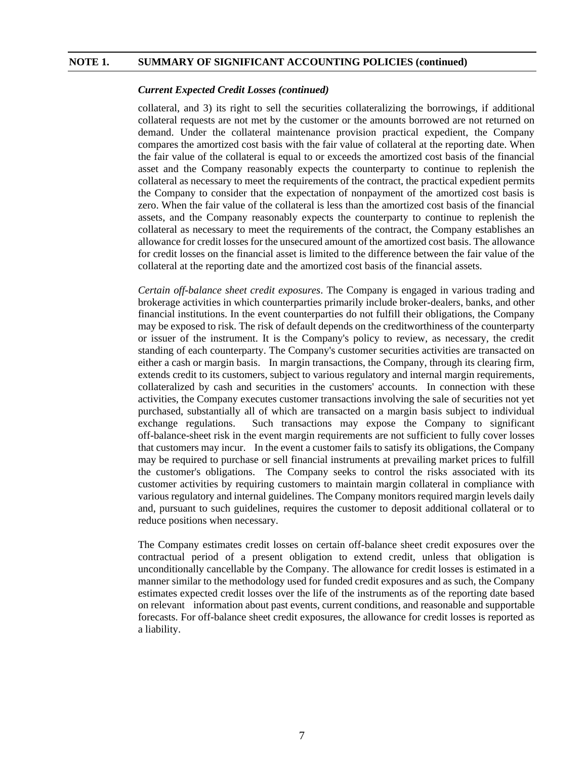#### *Current Expected Credit Losses (continued)*

collateral, and 3) its right to sell the securities collateralizing the borrowings, if additional collateral requests are not met by the customer or the amounts borrowed are not returned on demand. Under the collateral maintenance provision practical expedient, the Company compares the amortized cost basis with the fair value of collateral at the reporting date. When the fair value of the collateral is equal to or exceeds the amortized cost basis of the financial asset and the Company reasonably expects the counterparty to continue to replenish the collateral as necessary to meet the requirements of the contract, the practical expedient permits the Company to consider that the expectation of nonpayment of the amortized cost basis is zero. When the fair value of the collateral is less than the amortized cost basis of the financial assets, and the Company reasonably expects the counterparty to continue to replenish the collateral as necessary to meet the requirements of the contract, the Company establishes an allowance for credit losses for the unsecured amount of the amortized cost basis. The allowance for credit losses on the financial asset is limited to the difference between the fair value of the collateral at the reporting date and the amortized cost basis of the financial assets.

*Certain off-balance sheet credit exposures*. The Company is engaged in various trading and brokerage activities in which counterparties primarily include broker-dealers, banks, and other financial institutions. In the event counterparties do not fulfill their obligations, the Company may be exposed to risk. The risk of default depends on the creditworthiness of the counterparty or issuer of the instrument. It is the Company's policy to review, as necessary, the credit standing of each counterparty. The Company's customer securities activities are transacted on either a cash or margin basis. In margin transactions, the Company, through its clearing firm, extends credit to its customers, subject to various regulatory and internal margin requirements, collateralized by cash and securities in the customers' accounts. In connection with these activities, the Company executes customer transactions involving the sale of securities not yet purchased, substantially all of which are transacted on a margin basis subject to individual exchange regulations. Such transactions may expose the Company to significant off-balance-sheet risk in the event margin requirements are not sufficient to fully cover losses that customers may incur. In the event a customer fails to satisfy its obligations, the Company may be required to purchase or sell financial instruments at prevailing market prices to fulfill the customer's obligations. The Company seeks to control the risks associated with its customer activities by requiring customers to maintain margin collateral in compliance with various regulatory and internal guidelines. The Company monitors required margin levels daily and, pursuant to such guidelines, requires the customer to deposit additional collateral or to reduce positions when necessary.

The Company estimates credit losses on certain off-balance sheet credit exposures over the contractual period of a present obligation to extend credit, unless that obligation is unconditionally cancellable by the Company. The allowance for credit losses is estimated in a manner similar to the methodology used for funded credit exposures and as such, the Company estimates expected credit losses over the life of the instruments as of the reporting date based on relevant information about past events, current conditions, and reasonable and supportable forecasts. For off-balance sheet credit exposures, the allowance for credit losses is reported as a liability.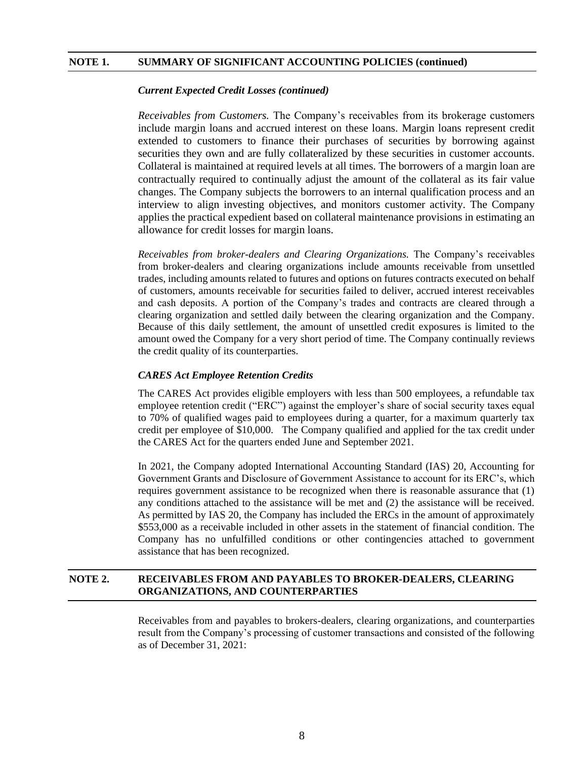#### *Current Expected Credit Losses (continued)*

*Receivables from Customers.* The Company's receivables from its brokerage customers include margin loans and accrued interest on these loans. Margin loans represent credit extended to customers to finance their purchases of securities by borrowing against securities they own and are fully collateralized by these securities in customer accounts. Collateral is maintained at required levels at all times. The borrowers of a margin loan are contractually required to continually adjust the amount of the collateral as its fair value changes. The Company subjects the borrowers to an internal qualification process and an interview to align investing objectives, and monitors customer activity. The Company applies the practical expedient based on collateral maintenance provisions in estimating an allowance for credit losses for margin loans.

*Receivables from broker-dealers and Clearing Organizations.* The Company's receivables from broker-dealers and clearing organizations include amounts receivable from unsettled trades, including amounts related to futures and options on futures contracts executed on behalf of customers, amounts receivable for securities failed to deliver, accrued interest receivables and cash deposits. A portion of the Company's trades and contracts are cleared through a clearing organization and settled daily between the clearing organization and the Company. Because of this daily settlement, the amount of unsettled credit exposures is limited to the amount owed the Company for a very short period of time. The Company continually reviews the credit quality of its counterparties.

#### *CARES Act Employee Retention Credits*

The CARES Act provides eligible employers with less than 500 employees, a refundable tax employee retention credit ("ERC") against the employer's share of social security taxes equal to 70% of qualified wages paid to employees during a quarter, for a maximum quarterly tax credit per employee of \$10,000. The Company qualified and applied for the tax credit under the CARES Act for the quarters ended June and September 2021.

In 2021, the Company adopted International Accounting Standard (IAS) 20, Accounting for Government Grants and Disclosure of Government Assistance to account for its ERC's, which requires government assistance to be recognized when there is reasonable assurance that (1) any conditions attached to the assistance will be met and (2) the assistance will be received. As permitted by IAS 20, the Company has included the ERCs in the amount of approximately \$553,000 as a receivable included in other assets in the statement of financial condition. The Company has no unfulfilled conditions or other contingencies attached to government assistance that has been recognized.

## **NOTE 2. RECEIVABLES FROM AND PAYABLES TO BROKER-DEALERS, CLEARING ORGANIZATIONS, AND COUNTERPARTIES**

Receivables from and payables to brokers-dealers, clearing organizations, and counterparties result from the Company's processing of customer transactions and consisted of the following as of December 31, 2021: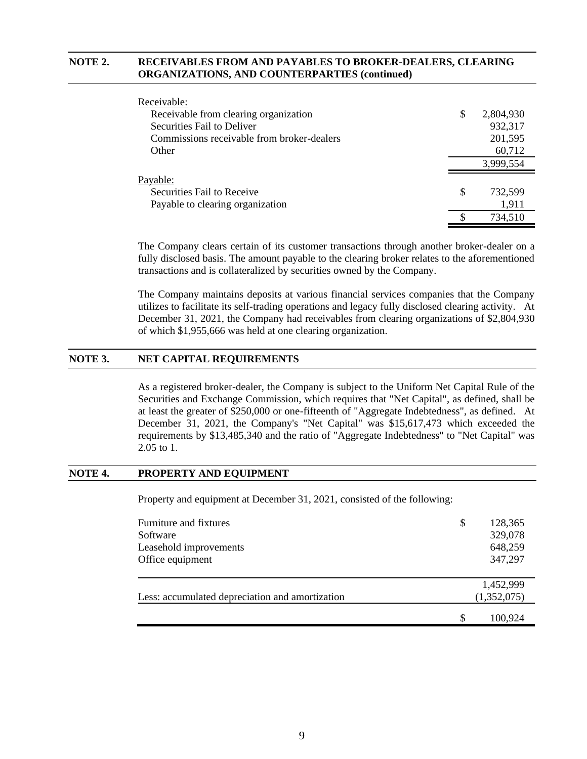## **NOTE 2. RECEIVABLES FROM AND PAYABLES TO BROKER-DEALERS, CLEARING ORGANIZATIONS, AND COUNTERPARTIES (continued)**

| Receivable:                                |   |           |
|--------------------------------------------|---|-----------|
| Receivable from clearing organization      | S | 2,804,930 |
| Securities Fail to Deliver                 |   | 932,317   |
| Commissions receivable from broker-dealers |   | 201,595   |
| Other                                      |   | 60,712    |
|                                            |   | 3,999,554 |
| Payable:                                   |   |           |
| Securities Fail to Receive                 | S | 732.599   |
| Payable to clearing organization           |   | 1,911     |
|                                            |   | 734,510   |

The Company clears certain of its customer transactions through another broker-dealer on a fully disclosed basis. The amount payable to the clearing broker relates to the aforementioned transactions and is collateralized by securities owned by the Company.

The Company maintains deposits at various financial services companies that the Company utilizes to facilitate its self-trading operations and legacy fully disclosed clearing activity. At December 31, 2021, the Company had receivables from clearing organizations of \$2,804,930 of which \$1,955,666 was held at one clearing organization.

## **NOTE 3. NET CAPITAL REQUIREMENTS**

As a registered broker-dealer, the Company is subject to the Uniform Net Capital Rule of the Securities and Exchange Commission, which requires that "Net Capital", as defined, shall be at least the greater of \$250,000 or one-fifteenth of "Aggregate Indebtedness", as defined. At December 31, 2021, the Company's "Net Capital" was \$15,617,473 which exceeded the requirements by \$13,485,340 and the ratio of "Aggregate Indebtedness" to "Net Capital" was 2.05 to 1.

## **NOTE 4. PROPERTY AND EQUIPMENT**

Property and equipment at December 31, 2021, consisted of the following:

| Furniture and fixtures<br>Software<br>Leasehold improvements<br>Office equipment | \$ | 128,365<br>329,078<br>648,259<br>347,297 |
|----------------------------------------------------------------------------------|----|------------------------------------------|
| Less: accumulated depreciation and amortization                                  |    | 1,452,999<br>(1,352,075)                 |
|                                                                                  | S  | 100,924                                  |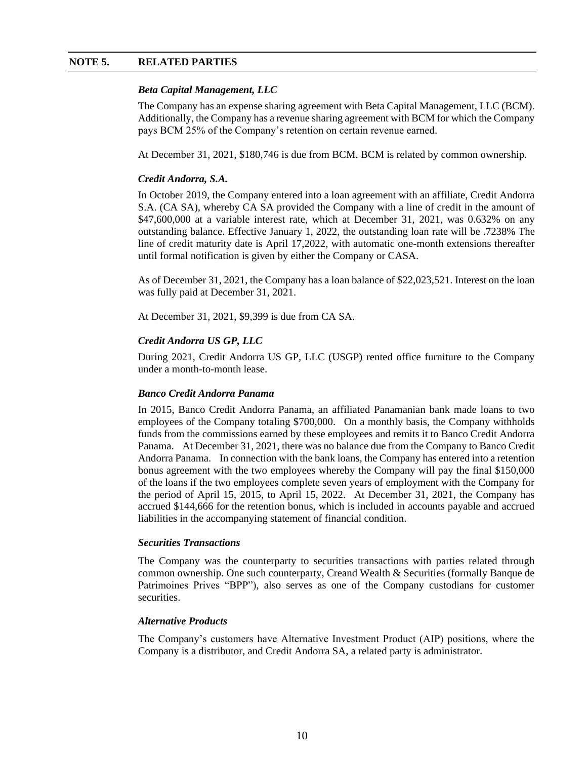## **NOTE 5. RELATED PARTIES**

## *Beta Capital Management, LLC*

The Company has an expense sharing agreement with Beta Capital Management, LLC (BCM). Additionally, the Company has a revenue sharing agreement with BCM for which the Company pays BCM 25% of the Company's retention on certain revenue earned.

At December 31, 2021, \$180,746 is due from BCM. BCM is related by common ownership.

## *Credit Andorra, S.A.*

In October 2019, the Company entered into a loan agreement with an affiliate, Credit Andorra S.A. (CA SA), whereby CA SA provided the Company with a line of credit in the amount of \$47,600,000 at a variable interest rate, which at December 31, 2021, was 0.632% on any outstanding balance. Effective January 1, 2022, the outstanding loan rate will be .7238% The line of credit maturity date is April 17,2022, with automatic one-month extensions thereafter until formal notification is given by either the Company or CASA.

As of December 31, 2021, the Company has a loan balance of \$22,023,521. Interest on the loan was fully paid at December 31, 2021.

At December 31, 2021, \$9,399 is due from CA SA.

## *Credit Andorra US GP, LLC*

During 2021, Credit Andorra US GP, LLC (USGP) rented office furniture to the Company under a month-to-month lease.

## *Banco Credit Andorra Panama*

In 2015, Banco Credit Andorra Panama, an affiliated Panamanian bank made loans to two employees of the Company totaling \$700,000. On a monthly basis, the Company withholds funds from the commissions earned by these employees and remits it to Banco Credit Andorra Panama. At December 31, 2021, there was no balance due from the Company to Banco Credit Andorra Panama. In connection with the bank loans, the Company has entered into a retention bonus agreement with the two employees whereby the Company will pay the final \$150,000 of the loans if the two employees complete seven years of employment with the Company for the period of April 15, 2015, to April 15, 2022. At December 31, 2021, the Company has accrued \$144,666 for the retention bonus, which is included in accounts payable and accrued liabilities in the accompanying statement of financial condition.

## *Securities Transactions*

The Company was the counterparty to securities transactions with parties related through common ownership. One such counterparty, Creand Wealth & Securities (formally Banque de Patrimoines Prives "BPP"), also serves as one of the Company custodians for customer securities.

## *Alternative Products*

The Company's customers have Alternative Investment Product (AIP) positions, where the Company is a distributor, and Credit Andorra SA, a related party is administrator.